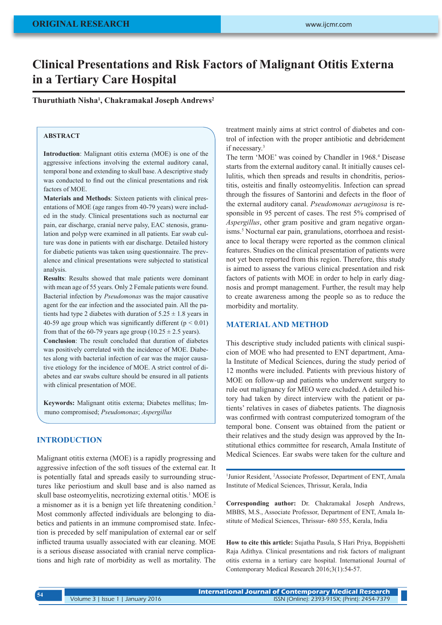# **Clinical Presentations and Risk Factors of Malignant Otitis Externa in a Tertiary Care Hospital**

**Thuruthiath Nisha1 , Chakramakal Joseph Andrews2**

## **ABSTRACT**

**Introduction**: Malignant otitis externa (MOE) is one of the aggressive infections involving the external auditory canal, temporal bone and extending to skull base. A descriptive study was conducted to find out the clinical presentations and risk factors of MOE.

**Materials and Methods**: Sixteen patients with clinical presentations of MOE (age ranges from 40-79 years) were included in the study. Clinical presentations such as nocturnal ear pain, ear discharge, cranial nerve palsy, EAC stenosis, granulation and polyp were examined in all patients. Ear swab culture was done in patients with ear discharge. Detailed history for diabetic patients was taken using questionnaire. The prevalence and clinical presentations were subjected to statistical analysis.

**Results**: Results showed that male patients were dominant with mean age of 55 years. Only 2 Female patients were found. Bacterial infection by *Pseudomonas* was the major causative agent for the ear infection and the associated pain. All the patients had type 2 diabetes with duration of  $5.25 \pm 1.8$  years in 40-59 age group which was significantly different ( $p \le 0.01$ ) from that of the 60-79 years age group (10.25  $\pm$  2.5 years).

**Conclusion**: The result concluded that duration of diabetes was positively correlated with the incidence of MOE. Diabetes along with bacterial infection of ear was the major causative etiology for the incidence of MOE. A strict control of diabetes and ear swabs culture should be ensured in all patients with clinical presentation of MOE.

**Keywords:** Malignant otitis externa; Diabetes mellitus; Immuno compromised; *Pseudomonas*; *Aspergillus*

#### **INTRODUCTION**

Malignant otitis externa (MOE) is a rapidly progressing and aggressive infection of the soft tissues of the external ear. It is potentially fatal and spreads easily to surrounding structures like periostium and skull base and is also named as skull base osteomyelitis, necrotizing external otitis.<sup>1</sup> MOE is a misnomer as it is a benign yet life threatening condition. 2 Most commonly affected individuals are belonging to diabetics and patients in an immune compromised state. Infection is preceded by self manipulation of external ear or self inflicted trauma usually associated with ear cleaning. MOE is a serious disease associated with cranial nerve complications and high rate of morbidity as well as mortality. The

treatment mainly aims at strict control of diabetes and control of infection with the proper antibiotic and debridement if necessary.<sup>3</sup>

The term 'MOE' was coined by Chandler in 1968.<sup>4</sup> Disease starts from the external auditory canal. It initially causes cellulitis, which then spreads and results in chondritis, periostitis, osteitis and finally osteomyelitis. Infection can spread through the fissures of Santorini and defects in the floor of the external auditory canal. *Pseudomonas aeruginosa* is responsible in 95 percent of cases. The rest 5% comprised of *Aspergillus*, other gram positive and gram negative organisms.<sup>5</sup> Nocturnal ear pain, granulations, otorrhoea and resistance to local therapy were reported as the common clinical features. Studies on the clinical presentation of patients were not yet been reported from this region. Therefore, this study is aimed to assess the various clinical presentation and risk factors of patients with MOE in order to help in early diagnosis and prompt management. Further, the result may help to create awareness among the people so as to reduce the morbidity and mortality.

## **MATERIAL AND METHOD**

This descriptive study included patients with clinical suspicion of MOE who had presented to ENT department, Amala Institute of Medical Sciences, during the study period of 12 months were included. Patients with previous history of MOE on follow-up and patients who underwent surgery to rule out malignancy for MEO were excluded. A detailed history had taken by direct interview with the patient or patients' relatives in cases of diabetes patients. The diagnosis was confirmed with contrast computerized tomogram of the temporal bone. Consent was obtained from the patient or their relatives and the study design was approved by the Institutional ethics committee for research, Amala Institute of Medical Sciences. Ear swabs were taken for the culture and

<sup>1</sup>Junior Resident, <sup>2</sup>Associate Professor, Department of ENT, Amala Institute of Medical Sciences, Thrissur, Kerala, India

**Corresponding author:** Dr. Chakramakal Joseph Andrews, MBBS, M.S., Associate Professor, Department of ENT, Amala Institute of Medical Sciences, Thrissur- 680 555, Kerala, India

**How to cite this article:** Sujatha Pasula, S Hari Priya, Boppishetti Raja Adithya. Clinical presentations and risk factors of malignant otitis externa in a tertiary care hospital. International Journal of Contemporary Medical Research 2016;3(1):54-57.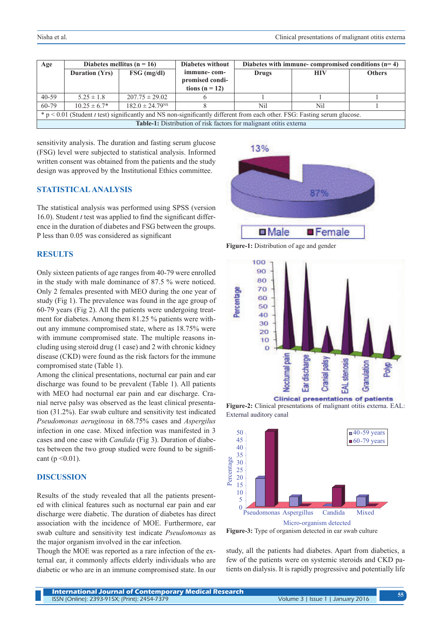| Age                                                                                                                                | Diabetes mellitus ( $n = 16$ ) |                                 | <b>Diabetes without</b>                              | Diabetes with immune- compromised conditions $(n=4)$ |            |               |
|------------------------------------------------------------------------------------------------------------------------------------|--------------------------------|---------------------------------|------------------------------------------------------|------------------------------------------------------|------------|---------------|
|                                                                                                                                    | <b>Duration (Yrs)</b>          | $FSG$ (mg/dl)                   | immune-com-<br>promised condi-<br>tions ( $n = 12$ ) | Drugs                                                | <b>HIV</b> | <b>Others</b> |
| $40 - 59$                                                                                                                          | $5.25 \pm 1.8$                 | $207.75 \pm 29.02$              |                                                      |                                                      |            |               |
| 60-79                                                                                                                              | $10.25 \pm 6.7^*$              | $182.0 \pm 24.79$ <sup>NS</sup> |                                                      | Nil                                                  | Nil        |               |
| $* p < 0.01$ (Student <i>t</i> test) significantly and NS non-significantly different from each other. FSG: Fasting serum glucose. |                                |                                 |                                                      |                                                      |            |               |
| <b>Table-1:</b> Distribution of risk factors for malignant otitis externa                                                          |                                |                                 |                                                      |                                                      |            |               |

sensitivity analysis. The duration and fasting serum glucose (FSG) level were subjected to statistical analysis. Informed written consent was obtained from the patients and the study design was approved by the Institutional Ethics committee.

#### **STATISTICAL ANALYSIS**

The statistical analysis was performed using SPSS (version 16.0). Student *t* test was applied to find the significant difference in the duration of diabetes and FSG between the groups. P less than 0.05 was considered as significant

## **RESULTS**

Only sixteen patients of age ranges from 40-79 were enrolled in the study with male dominance of 87.5 % were noticed. Only 2 females presented with MEO during the one year of study (Fig 1). The prevalence was found in the age group of 60-79 years (Fig 2). All the patients were undergoing treatment for diabetes. Among them 81.25 % patients were without any immune compromised state, where as 18.75% were with immune compromised state. The multiple reasons including using steroid drug (1 case) and 2 with chronic kidney disease (CKD) were found as the risk factors for the immune compromised state (Table 1).

Among the clinical presentations, nocturnal ear pain and ear discharge was found to be prevalent (Table 1). All patients with MEO had nocturnal ear pain and ear discharge. Cranial nerve palsy was observed as the least clinical presentation (31.2%). Ear swab culture and sensitivity test indicated *Pseudomonas aeruginosa* in 68.75% cases and *Aspergilus*  infection in one case. Mixed infection was manifested in 3 cases and one case with *Candida* (Fig 3). Duration of diabetes between the two group studied were found to be significant ( $p < 0.01$ ).

#### **DISCUSSION**

Results of the study revealed that all the patients presented with clinical features such as nocturnal ear pain and ear discharge were diabetic. The duration of diabetes has direct association with the incidence of MOE. Furthermore, ear swab culture and sensitivity test indicate *Pseudomonas* as the major organism involved in the ear infection.

Though the MOE was reported as a rare infection of the external ear, it commonly affects elderly individuals who are diabetic or who are in an immune compromised state. In our



**Figure-1:** Distribution of age and gender



**Figure-2:** Clinical presentations of malignant otitis externa. EAL: External auditory canal



study, all the patients had diabetes. Apart from diabetics, a few of the patients were on systemic steroids and CKD patients on dialysis. It is rapidly progressive and potentially life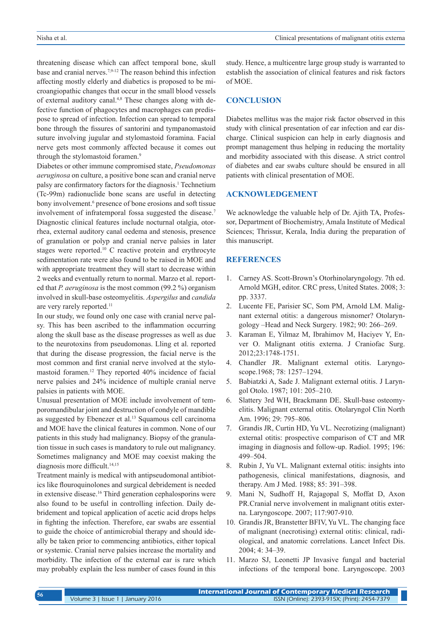threatening disease which can affect temporal bone, skull base and cranial nerves.7,9-12 The reason behind this infection affecting mostly elderly and diabetics is proposed to be microangiopathic changes that occur in the small blood vessels of external auditory canal.<sup>4,8</sup> These changes along with defective function of phagocytes and macrophages can predispose to spread of infection. Infection can spread to temporal bone through the fissures of santorini and tympanomastoid suture involving jugular and stylomastoid foramina. Facial nerve gets most commonly affected because it comes out through the stylomastoid foramen.<sup>9</sup>

Diabetes or other immune compromised state, *Pseudomonas aeruginosa* on culture, a positive bone scan and cranial nerve palsy are confirmatory factors for the diagnosis.<sup>1</sup> Technetium (Tc-99m) radionuclide bone scans are useful in detecting bony involvement.<sup>6</sup> presence of bone erosions and soft tissue involvement of infratemporal fossa suggested the disease.7 Diagnostic clinical features include nocturnal otalgia, otorrhea, external auditory canal oedema and stenosis, presence of granulation or polyp and cranial nerve palsies in later stages were reported.10 C reactive protein and erythrocyte sedimentation rate were also found to be raised in MOE and with appropriate treatment they will start to decrease within 2 weeks and eventually return to normal. Marzo et al. reported that *P. aeruginosa* is the most common (99.2 %) organism involved in skull-base osteomyelitis. *Aspergilus* and *candida* are very rarely reported.<sup>11</sup>

In our study, we found only one case with cranial nerve palsy. This has been ascribed to the inflammation occurring along the skull base as the disease progresses as well as due to the neurotoxins from pseudomonas. Lling et al. reported that during the disease progression, the facial nerve is the most common and first cranial nerve involved at the stylomastoid foramen.12 They reported 40% incidence of facial nerve palsies and 24% incidence of multiple cranial nerve palsies in patients with MOE.

Unusual presentation of MOE include involvement of temporomandibular joint and destruction of condyle of mandible as suggested by Ebenezer et al.<sup>13</sup> Squamous cell carcinoma and MOE have the clinical features in common. None of our patients in this study had malignancy. Biopsy of the granulation tissue in such cases is mandatory to rule out malignancy. Sometimes malignancy and MOE may coexist making the diagnosis more difficult.<sup>14,15</sup>

Treatment mainly is medical with antipseudomonal antibiotics like flouroquinolones and surgical debridement is needed in extensive disease.16 Third generation cephalosporins were also found to be useful in controlling infection. Daily debridement and topical application of acetic acid drops helps in fighting the infection. Therefore, ear swabs are essential to guide the choice of antimicrobial therapy and should ideally be taken prior to commencing antibiotics, either topical or systemic. Cranial nerve palsies increase the mortality and morbidity. The infection of the external ear is rare which may probably explain the less number of cases found in this

study. Hence, a multicentre large group study is warranted to establish the association of clinical features and risk factors of MOE.

#### **CONCLUSION**

Diabetes mellitus was the major risk factor observed in this study with clinical presentation of ear infection and ear discharge. Clinical suspicion can help in early diagnosis and prompt management thus helping in reducing the mortality and morbidity associated with this disease. A strict control of diabetes and ear swabs culture should be ensured in all patients with clinical presentation of MOE.

#### **ACKNOWLEDGEMENT**

We acknowledge the valuable help of Dr. Ajith TA, Professor, Department of Biochemistry, Amala Institute of Medical Sciences; Thrissur, Kerala, India during the preparation of this manuscript.

## **REFERENCES**

- 1. Carney AS. Scott-Brown's Otorhinolaryngology. 7th ed. Arnold MGH, editor. CRC press, United States. 2008; 3: pp. 3337.
- 2. Lucente FE, Parisier SC, Som PM, Arnold LM. Malignant external otitis: a dangerous misnomer? Otolaryngology –Head and Neck Surgery. 1982; 90: 266–269.
- 3. Karaman E, Yilmaz M, Ibrahimov M, Haciyev Y, Enver O. Malignant otitis externa. J Craniofac Surg. 2012;23:1748-1751.
- 4. Chandler JR. Malignant external otitis. Laryngoscope.1968; 78: 1257–1294.
- 5. Babiatzki A, Sade J. Malignant external otitis. J Laryngol Otolo. 1987; 101: 205–210.
- 6. Slattery 3rd WH, Brackmann DE. Skull-base osteomyelitis. Malignant external otitis. Otolaryngol Clin North Am. 1996; 29: 795–806.
- 7. Grandis JR, Curtin HD, Yu VL. Necrotizing (malignant) external otitis: prospective comparison of CT and MR imaging in diagnosis and follow-up. Radiol. 1995; 196: 499–504.
- 8. Rubin J, Yu VL. Malignant external otitis: insights into pathogenesis, clinical manifestations, diagnosis, and therapy. Am J Med. 1988; 85: 391–398.
- 9. Mani N, Sudhoff H, Rajagopal S, Moffat D, Axon PR.Cranial nerve involvement in malignant otitis externa. Laryngoscope. 2007; 117:907-910.
- 10. Grandis JR, Branstetter BFIV, Yu VL. The changing face of malignant (necrotising) external otitis: clinical, radiological, and anatomic correlations. Lancet Infect Dis. 2004; 4: 34–39.
- 11. Marzo SJ, Leonetti JP Invasive fungal and bacterial infections of the temporal bone. Laryngoscope. 2003